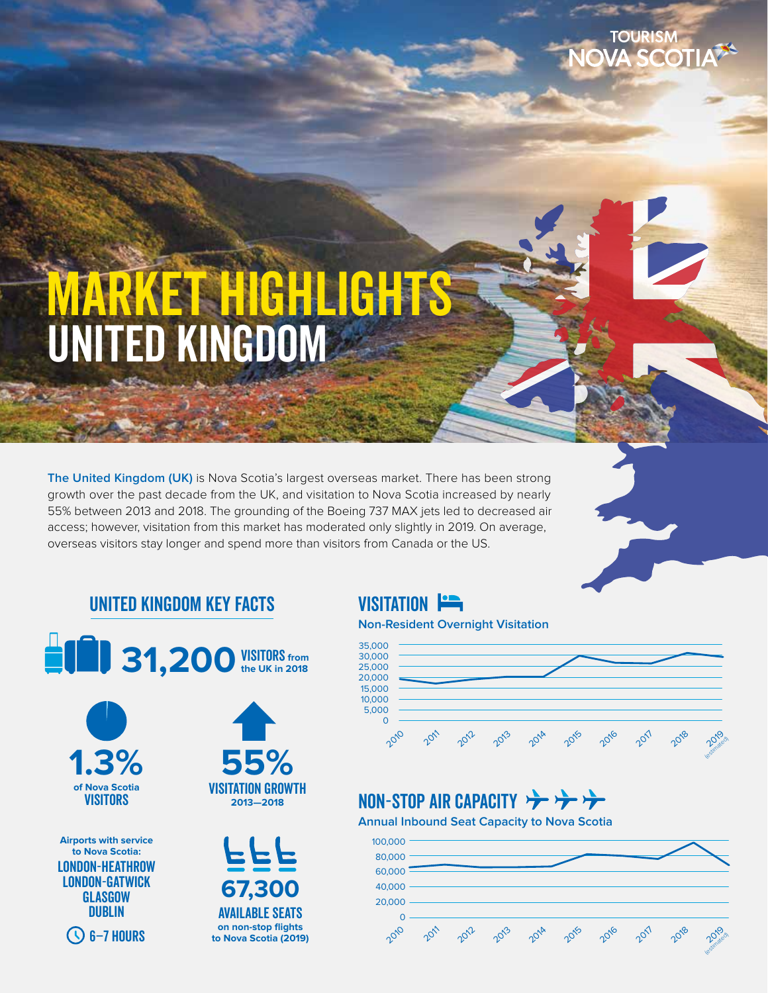# UNITED KINGDOM MARKET HIGHLIGHTS

**The United Kingdom (UK)** is Nova Scotia's largest overseas market. There has been strong growth over the past decade from the UK, and visitation to Nova Scotia increased by nearly 55% between 2013 and 2018. The grounding of the Boeing 737 MAX jets led to decreased air access; however, visitation from this market has moderated only slightly in 2019. On average, overseas visitors stay longer and spend more than visitors from Canada or the US.

# United Kingdom Key Facts





**Airports with service to Nova Scotia:** London-Heathrow London-Gatwick **GLASGOW DUBLIN** 

 $\bigcirc$  6–7 hours

Visitation growth **2013—2018 55%**



# **VISITATION**

#### **Non-Resident Overnight Visitation**



# NON-STOP AIR CAPACITY

**Annual Inbound Seat Capacity to Nova Scotia**

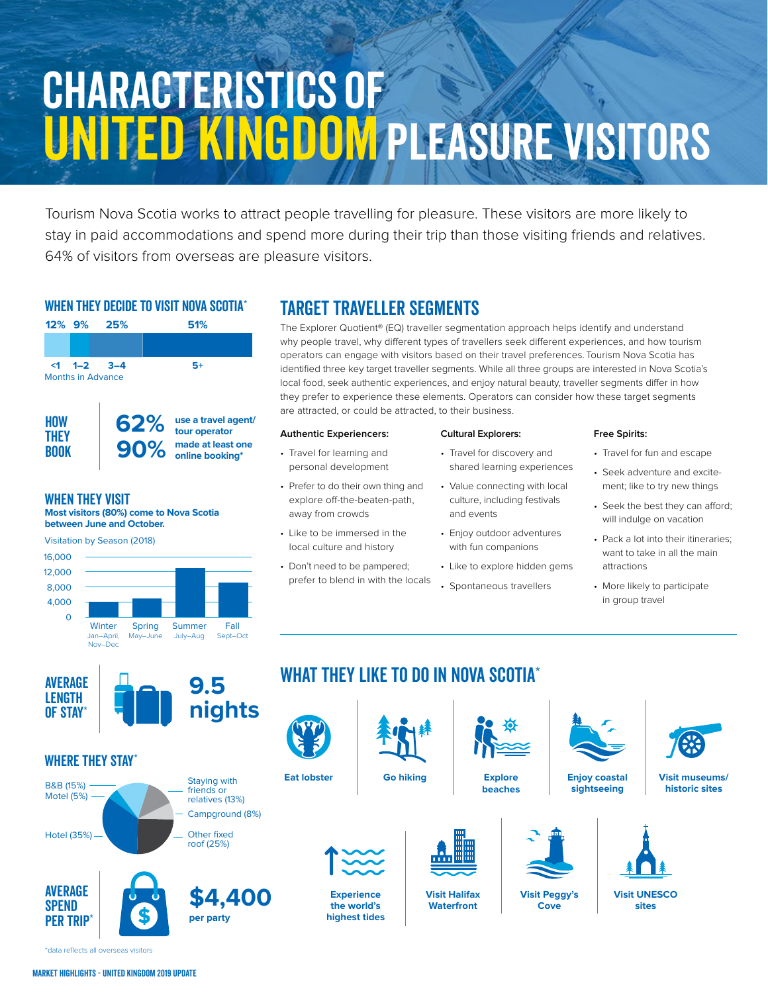# Characteristics of UNITED KINGDOM PLEASURE VISITORS

Tourism Nova Scotia works to attract people travelling for pleasure. These visitors are more likely to stay in paid accommodations and spend more during their trip than those visiting friends and relatives. 64% of visitors from overseas are pleasure visitors.

### WHEN THEY DECIDE TO VISIT NOVA SCOTIA<sup>\*</sup>



#### When they Visit

**Most visitors (80%) come to Nova Scotia between June and October.**



## TARGET TRAVELLER SEGMENTS

The Explorer Quotient® (EQ) traveller segmentation approach helps identify and understand why people travel, why different types of travellers seek different experiences, and how tourism operators can engage with visitors based on their travel preferences. Tourism Nova Scotia has identified three key target traveller segments. While all three groups are interested in Nova Scotia's local food, seek authentic experiences, and enjoy natural beauty, traveller segments differ in how they prefer to experience these elements. Operators can consider how these target segments are attracted, or could be attracted, to their business.

#### **Authentic Experiencers:**

- Travel for learning and personal development
- Prefer to do their own thing and explore off-the-beaten-path, away from crowds
- Like to be immersed in the local culture and history
- Don't need to be pampered; prefer to blend in with the locals

#### **Cultural Explorers:**

- Travel for discovery and shared learning experiences
- Value connecting with local culture, including festivals and events
- Enjoy outdoor adventures with fun companions
- Like to explore hidden gems
- Spontaneous travellers

**Explore beaches**

#### **Free Spirits:**

- Travel for fun and escape
- Seek adventure and excitement; like to try new things
- Seek the best they can afford; will indulge on vacation
- Pack a lot into their itineraries; want to take in all the main attractions
- More likely to participate in group travel



### WHERE THEY STAY<sup>\*</sup>



**per party \$4,400**





**Experience the world's highest tides**



WHAT THEY LIKE TO DO IN NOVA SCOTIA\*

**Visit Halifax Waterfront**





**Go hiking Visit museums/ historic sites**







**Visit UNESCO sites**

\*data reflects all overseas visitors

**SPEND** PER TRIP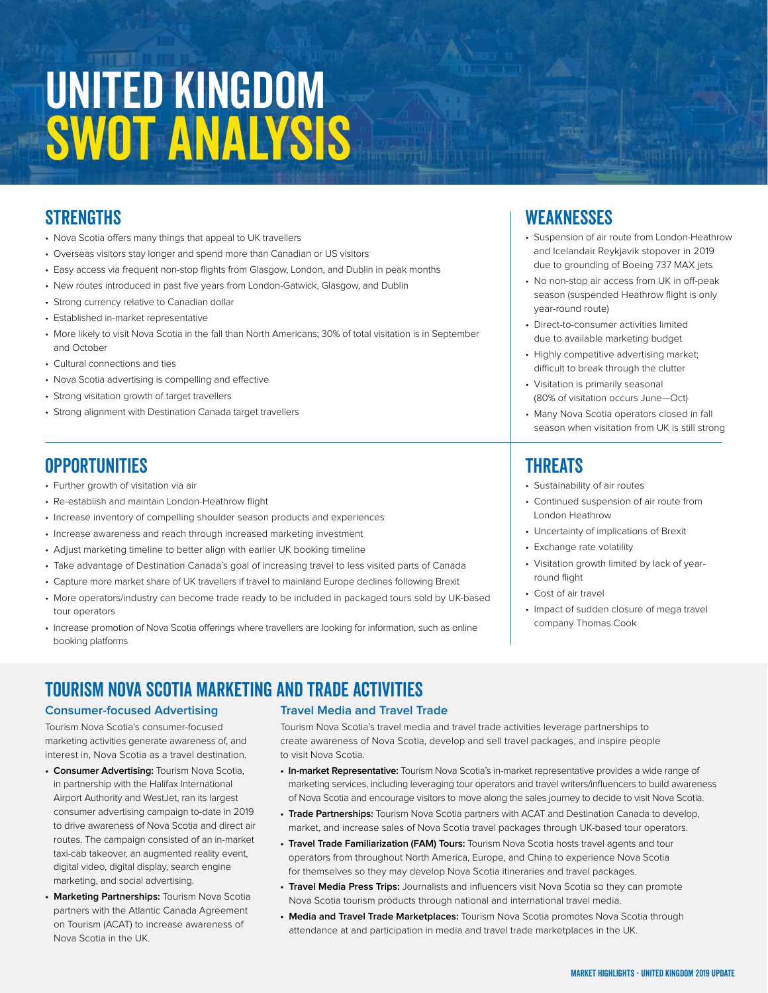# United Kingdom **SWOT ANALYSIS**

# **STRENGTHS**

- •Nova Scotia offers many things that appeal to UK travellers
- •Overseas visitors stay longer and spend more than Canadian or US visitors
- •Easy access via frequent non-stop flights from Glasgow, London, and Dublin in peak months
- •New routes introduced in past five years from London-Gatwick, Glasgow, and Dublin
- •Strong currency relative to Canadian dollar
- •Established in-market representative
- •More likely to visit Nova Scotia in the fall than North Americans; 30% of total visitation is in September and October
- •Cultural connections and ties
- •Nova Scotia advertising is compelling and effective
- •Strong visitation growth of target travellers
- •Strong alignment with Destination Canada target travellers

## **OPPORTUNITIES**

- •Further growth of visitation via air
- •Re-establish and maintain London-Heathrow flight
- •Increase inventory of compelling shoulder season products and experiences
- •Increase awareness and reach through increased marketing investment
- •Adjust marketing timeline to better align with earlier UK booking timeline
- •Take advantage of Destination Canada's goal of increasing travel to less visited parts of Canada
- •Capture more market share of UK travellers if travel to mainland Europe declines following Brexit
- •More operators/industry can become trade ready to be included in packaged tours sold by UK-based tour operators
- •Increase promotion of Nova Scotia offerings where travellers are looking for information, such as online booking platforms

# TOURISM NOVA SCOTIA MARKETING and Trade ACTIVITIES

#### **Consumer-focused Advertising**

Tourism Nova Scotia's consumer-focused marketing activities generate awareness of, and interest in, Nova Scotia as a travel destination.

- **Consumer Advertising:** Tourism Nova Scotia, in partnership with the Halifax International Airport Authority and WestJet, ran its largest consumer advertising campaign to-date in 2019 to drive awareness of Nova Scotia and direct air routes. The campaign consisted of an in-market taxi-cab takeover, an augmented reality event, digital video, digital display, search engine marketing, and social advertising.
- **Marketing Partnerships:** Tourism Nova Scotia partners with the Atlantic Canada Agreement on Tourism (ACAT) to increase awareness of Nova Scotia in the UK.

#### **Travel Media and Travel Trade**

Tourism Nova Scotia's travel media and travel trade activities leverage partnerships to create awareness of Nova Scotia, develop and sell travel packages, and inspire people to visit Nova Scotia.

- **In-market Representative:** Tourism Nova Scotia's in-market representative provides a wide range of marketing services, including leveraging tour operators and travel writers/influencers to build awareness of Nova Scotia and encourage visitors to move along the sales journey to decide to visit Nova Scotia.
- **Trade Partnerships:** Tourism Nova Scotia partners with ACAT and Destination Canada to develop, market, and increase sales of Nova Scotia travel packages through UK-based tour operators.
- **Travel Trade Familiarization (FAM) Tours:** Tourism Nova Scotia hosts travel agents and tour operators from throughout North America, Europe, and China to experience Nova Scotia for themselves so they may develop Nova Scotia itineraries and travel packages.
- **Travel Media Press Trips:** Journalists and influencers visit Nova Scotia so they can promote Nova Scotia tourism products through national and international travel media.
- **Media and Travel Trade Marketplaces:** Tourism Nova Scotia promotes Nova Scotia through attendance at and participation in media and travel trade marketplaces in the UK.

### **WEAKNESSES**

- •Suspension of air route from London-Heathrow and Icelandair Reykjavik stopover in 2019 due to grounding of Boeing 737 MAX jets
- •No non-stop air access from UK in off-peak season (suspended Heathrow flight is only year-round route)
- •Direct-to-consumer activities limited due to available marketing budget
- •Highly competitive advertising market; difficult to break through the clutter
- •Visitation is primarily seasonal (80% of visitation occurs June—Oct)
- •Many Nova Scotia operators closed in fall season when visitation from UK is still strong

# **THREATS**

- •Sustainability of air routes
- •Continued suspension of air route from London Heathrow
- •Uncertainty of implications of Brexit
- •Exchange rate volatility
- •Visitation growth limited by lack of yearround flight
- •Cost of air travel
- •Impact of sudden closure of mega travel company Thomas Cook